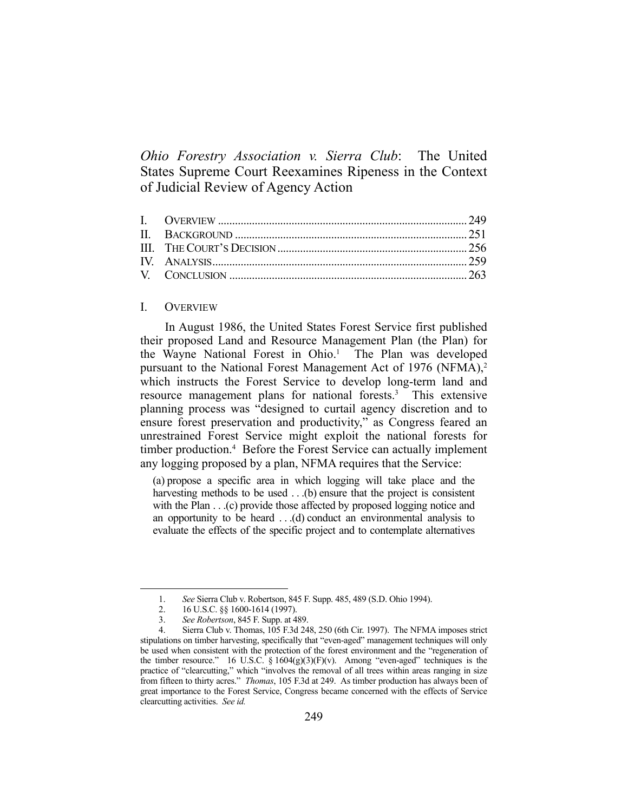*Ohio Forestry Association v. Sierra Club*: The United States Supreme Court Reexamines Ripeness in the Context of Judicial Review of Agency Action

# I. OVERVIEW

 In August 1986, the United States Forest Service first published their proposed Land and Resource Management Plan (the Plan) for the Wayne National Forest in Ohio.<sup>1</sup> The Plan was developed pursuant to the National Forest Management Act of 1976 (NFMA),<sup>2</sup> which instructs the Forest Service to develop long-term land and resource management plans for national forests.<sup>3</sup> This extensive planning process was "designed to curtail agency discretion and to ensure forest preservation and productivity," as Congress feared an unrestrained Forest Service might exploit the national forests for timber production.<sup>4</sup> Before the Forest Service can actually implement any logging proposed by a plan, NFMA requires that the Service:

(a) propose a specific area in which logging will take place and the harvesting methods to be used . . .(b) ensure that the project is consistent with the Plan . . .(c) provide those affected by proposed logging notice and an opportunity to be heard . . .(d) conduct an environmental analysis to evaluate the effects of the specific project and to contemplate alternatives

 <sup>1.</sup> *See* Sierra Club v. Robertson, 845 F. Supp. 485, 489 (S.D. Ohio 1994).

 <sup>2. 16</sup> U.S.C. §§ 1600-1614 (1997).

 <sup>3.</sup> *See Robertson*, 845 F. Supp. at 489.

 <sup>4.</sup> Sierra Club v. Thomas, 105 F.3d 248, 250 (6th Cir. 1997). The NFMA imposes strict stipulations on timber harvesting, specifically that "even-aged" management techniques will only be used when consistent with the protection of the forest environment and the "regeneration of the timber resource." 16 U.S.C. §  $1604(g)(3)(F)(v)$ . Among "even-aged" techniques is the practice of "clearcutting," which "involves the removal of all trees within areas ranging in size from fifteen to thirty acres." *Thomas*, 105 F.3d at 249. As timber production has always been of great importance to the Forest Service, Congress became concerned with the effects of Service clearcutting activities. *See id.*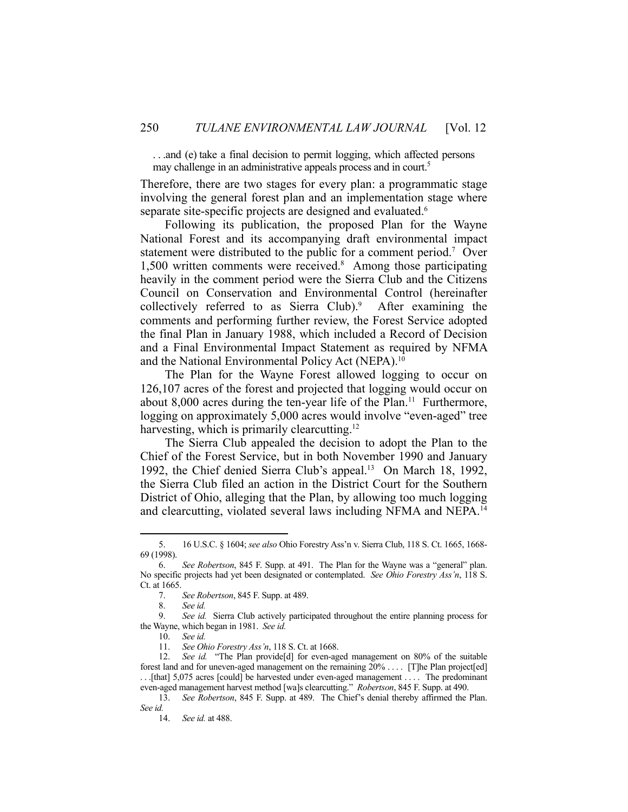. . .and (e) take a final decision to permit logging, which affected persons may challenge in an administrative appeals process and in court.<sup>5</sup>

Therefore, there are two stages for every plan: a programmatic stage involving the general forest plan and an implementation stage where separate site-specific projects are designed and evaluated.<sup>6</sup>

 Following its publication, the proposed Plan for the Wayne National Forest and its accompanying draft environmental impact statement were distributed to the public for a comment period.<sup>7</sup> Over 1,500 written comments were received.8 Among those participating heavily in the comment period were the Sierra Club and the Citizens Council on Conservation and Environmental Control (hereinafter collectively referred to as Sierra Club).<sup>9</sup> After examining the comments and performing further review, the Forest Service adopted the final Plan in January 1988, which included a Record of Decision and a Final Environmental Impact Statement as required by NFMA and the National Environmental Policy Act (NEPA).<sup>10</sup>

 The Plan for the Wayne Forest allowed logging to occur on 126,107 acres of the forest and projected that logging would occur on about  $8,000$  acres during the ten-year life of the Plan.<sup>11</sup> Furthermore, logging on approximately 5,000 acres would involve "even-aged" tree harvesting, which is primarily clearcutting.<sup>12</sup>

 The Sierra Club appealed the decision to adopt the Plan to the Chief of the Forest Service, but in both November 1990 and January 1992, the Chief denied Sierra Club's appeal.13 On March 18, 1992, the Sierra Club filed an action in the District Court for the Southern District of Ohio, alleging that the Plan, by allowing too much logging and clearcutting, violated several laws including NFMA and NEPA. 14

<u>.</u>

11. *See Ohio Forestry Ass'n*, 118 S. Ct. at 1668.

 <sup>5. 16</sup> U.S.C. § 1604; *see also* Ohio Forestry Ass'n v. Sierra Club, 118 S. Ct. 1665, 1668- 69 (1998).

 <sup>6.</sup> *See Robertson*, 845 F. Supp. at 491. The Plan for the Wayne was a "general" plan. No specific projects had yet been designated or contemplated. *See Ohio Forestry Ass'n*, 118 S. Ct. at 1665.

 <sup>7.</sup> *See Robertson*, 845 F. Supp. at 489.

 <sup>8.</sup> *See id.*

 <sup>9.</sup> *See id.* Sierra Club actively participated throughout the entire planning process for the Wayne, which began in 1981. *See id.*

 <sup>10.</sup> *See id.*

 <sup>12.</sup> *See id.* "The Plan provide[d] for even-aged management on 80% of the suitable forest land and for uneven-aged management on the remaining  $20\% \dots$  [T]he Plan project[ed] . . .[that] 5,075 acres [could] be harvested under even-aged management . . . . The predominant even-aged management harvest method [wa]s clearcutting." *Robertson*, 845 F. Supp. at 490.

 <sup>13.</sup> *See Robertson*, 845 F. Supp. at 489. The Chief's denial thereby affirmed the Plan. *See id.* 

 <sup>14.</sup> *See id.* at 488.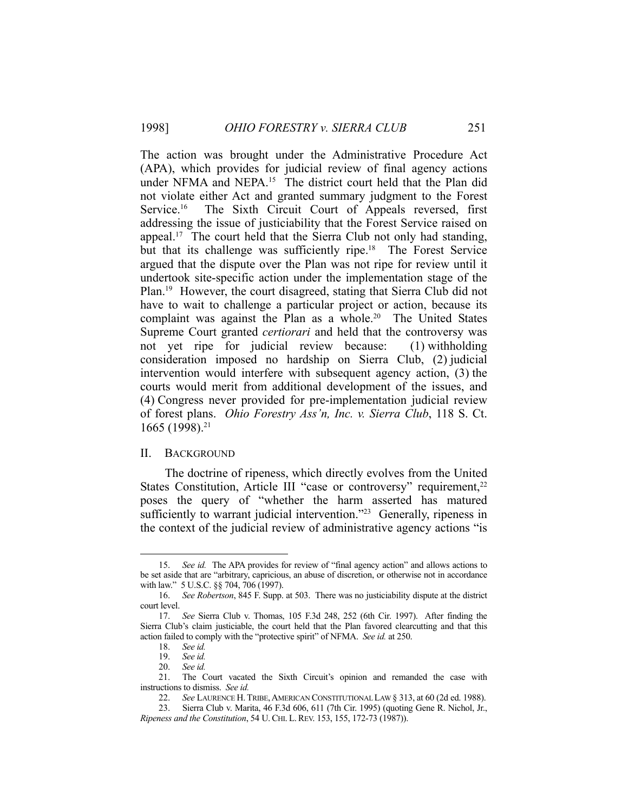The action was brought under the Administrative Procedure Act (APA), which provides for judicial review of final agency actions under NFMA and NEPA.<sup>15</sup> The district court held that the Plan did not violate either Act and granted summary judgment to the Forest Service.<sup>16</sup> The Sixth Circuit Court of Appeals reversed, first addressing the issue of justiciability that the Forest Service raised on appeal.<sup>17</sup> The court held that the Sierra Club not only had standing, but that its challenge was sufficiently ripe.<sup>18</sup> The Forest Service argued that the dispute over the Plan was not ripe for review until it undertook site-specific action under the implementation stage of the Plan.19 However, the court disagreed, stating that Sierra Club did not have to wait to challenge a particular project or action, because its complaint was against the Plan as a whole.<sup>20</sup> The United States Supreme Court granted *certiorari* and held that the controversy was not yet ripe for judicial review because: (1) withholding consideration imposed no hardship on Sierra Club, (2) judicial intervention would interfere with subsequent agency action, (3) the courts would merit from additional development of the issues, and (4) Congress never provided for pre-implementation judicial review of forest plans. *Ohio Forestry Ass'n, Inc. v. Sierra Club*, 118 S. Ct. 1665 (1998).21

# II. BACKGROUND

 The doctrine of ripeness, which directly evolves from the United States Constitution, Article III "case or controversy" requirement,<sup>22</sup> poses the query of "whether the harm asserted has matured sufficiently to warrant judicial intervention."<sup>23</sup> Generally, ripeness in the context of the judicial review of administrative agency actions "is

 <sup>15.</sup> *See id.* The APA provides for review of "final agency action" and allows actions to be set aside that are "arbitrary, capricious, an abuse of discretion, or otherwise not in accordance with law." 5 U.S.C. §§ 704, 706 (1997).

 <sup>16.</sup> *See Robertson*, 845 F. Supp. at 503. There was no justiciability dispute at the district court level.

 <sup>17.</sup> *See* Sierra Club v. Thomas, 105 F.3d 248, 252 (6th Cir. 1997). After finding the Sierra Club's claim justiciable, the court held that the Plan favored clearcutting and that this action failed to comply with the "protective spirit" of NFMA. *See id.* at 250.

 <sup>18.</sup> *See id.*

 <sup>19.</sup> *See id.*

 <sup>20.</sup> *See id.*

 <sup>21.</sup> The Court vacated the Sixth Circuit's opinion and remanded the case with instructions to dismiss. *See id.*

 <sup>22.</sup> *See* LAURENCE H.TRIBE,AMERICAN CONSTITUTIONAL LAW § 313, at 60 (2d ed. 1988).

 <sup>23.</sup> Sierra Club v. Marita, 46 F.3d 606, 611 (7th Cir. 1995) (quoting Gene R. Nichol, Jr., *Ripeness and the Constitution*, 54 U.CHI. L.REV. 153, 155, 172-73 (1987)).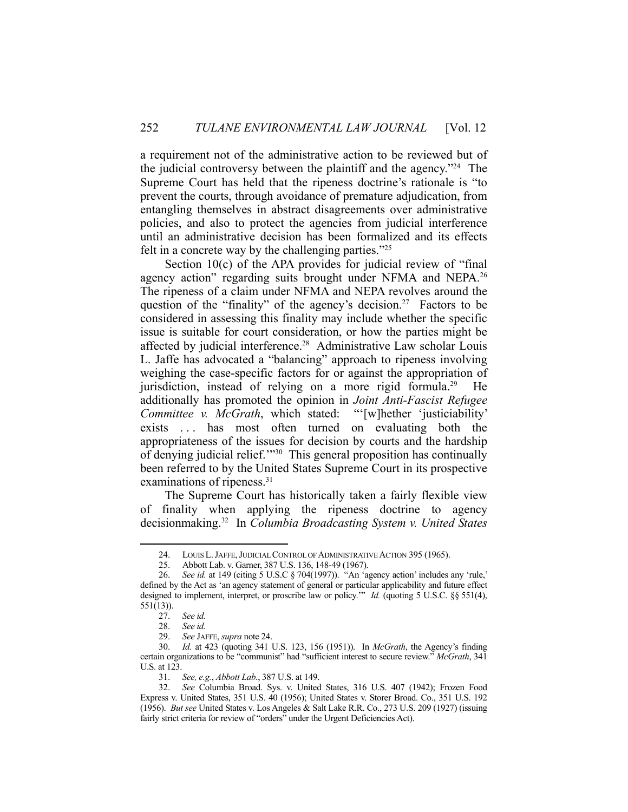a requirement not of the administrative action to be reviewed but of the judicial controversy between the plaintiff and the agency."24 The Supreme Court has held that the ripeness doctrine's rationale is "to prevent the courts, through avoidance of premature adjudication, from entangling themselves in abstract disagreements over administrative policies, and also to protect the agencies from judicial interference until an administrative decision has been formalized and its effects felt in a concrete way by the challenging parties."25

 Section 10(c) of the APA provides for judicial review of "final agency action" regarding suits brought under NFMA and NEPA.<sup>26</sup> The ripeness of a claim under NFMA and NEPA revolves around the question of the "finality" of the agency's decision.<sup>27</sup> Factors to be considered in assessing this finality may include whether the specific issue is suitable for court consideration, or how the parties might be affected by judicial interference.<sup>28</sup> Administrative Law scholar Louis L. Jaffe has advocated a "balancing" approach to ripeness involving weighing the case-specific factors for or against the appropriation of jurisdiction, instead of relying on a more rigid formula.<sup>29</sup> He additionally has promoted the opinion in *Joint Anti-Fascist Refugee Committee v. McGrath*, which stated: "'[w]hether 'justiciability' exists ... has most often turned on evaluating both the appropriateness of the issues for decision by courts and the hardship of denying judicial relief.'"30 This general proposition has continually been referred to by the United States Supreme Court in its prospective examinations of ripeness.<sup>31</sup>

 The Supreme Court has historically taken a fairly flexible view of finality when applying the ripeness doctrine to agency decisionmaking.32 In *Columbia Broadcasting System v. United States* 

<sup>24.</sup> LOUIS L. JAFFE, JUDICIAL CONTROL OF ADMINISTRATIVE ACTION 395 (1965).

 <sup>25.</sup> Abbott Lab. v. Garner, 387 U.S. 136, 148-49 (1967).

 <sup>26.</sup> *See id.* at 149 (citing 5 U.S.C § 704(1997)). "An 'agency action' includes any 'rule,' defined by the Act as 'an agency statement of general or particular applicability and future effect designed to implement, interpret, or proscribe law or policy.'" *Id.* (quoting 5 U.S.C. §§ 551(4), 551(13)).

 <sup>27.</sup> *See id.*

 <sup>28.</sup> *See id.*

 <sup>29.</sup> *See* JAFFE, *supra* note 24.

 <sup>30.</sup> *Id.* at 423 (quoting 341 U.S. 123, 156 (1951)). In *McGrath*, the Agency's finding certain organizations to be "communist" had "sufficient interest to secure review." *McGrath*, 341 U.S. at 123.

 <sup>31.</sup> *See, e.g.*, *Abbott Lab.*, 387 U.S. at 149.

 <sup>32.</sup> *See* Columbia Broad. Sys. v. United States, 316 U.S. 407 (1942); Frozen Food Express v. United States, 351 U.S. 40 (1956); United States v. Storer Broad. Co., 351 U.S. 192 (1956). *But see* United States v. Los Angeles & Salt Lake R.R. Co., 273 U.S. 209 (1927) (issuing fairly strict criteria for review of "orders" under the Urgent Deficiencies Act).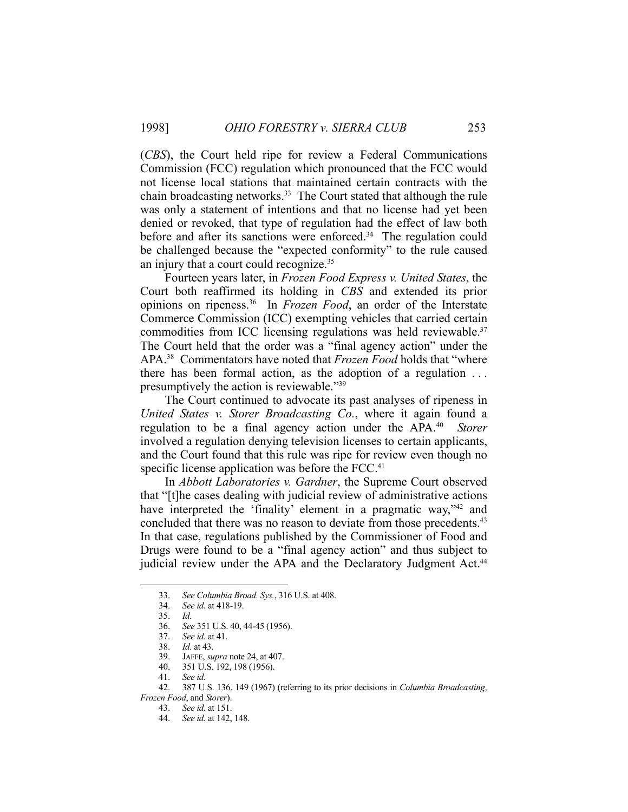(*CBS*), the Court held ripe for review a Federal Communications Commission (FCC) regulation which pronounced that the FCC would not license local stations that maintained certain contracts with the chain broadcasting networks.<sup>33</sup> The Court stated that although the rule was only a statement of intentions and that no license had yet been denied or revoked, that type of regulation had the effect of law both before and after its sanctions were enforced.<sup>34</sup> The regulation could be challenged because the "expected conformity" to the rule caused an injury that a court could recognize.35

 Fourteen years later, in *Frozen Food Express v. United States*, the Court both reaffirmed its holding in *CBS* and extended its prior opinions on ripeness.36 In *Frozen Food*, an order of the Interstate Commerce Commission (ICC) exempting vehicles that carried certain commodities from ICC licensing regulations was held reviewable.<sup>37</sup> The Court held that the order was a "final agency action" under the APA.38 Commentators have noted that *Frozen Food* holds that "where there has been formal action, as the adoption of a regulation . . . presumptively the action is reviewable."39

 The Court continued to advocate its past analyses of ripeness in *United States v. Storer Broadcasting Co.*, where it again found a regulation to be a final agency action under the APA.40 *Storer* involved a regulation denying television licenses to certain applicants, and the Court found that this rule was ripe for review even though no specific license application was before the FCC.<sup>41</sup>

 In *Abbott Laboratories v. Gardner*, the Supreme Court observed that "[t]he cases dealing with judicial review of administrative actions have interpreted the 'finality' element in a pragmatic way,"42 and concluded that there was no reason to deviate from those precedents.<sup>43</sup> In that case, regulations published by the Commissioner of Food and Drugs were found to be a "final agency action" and thus subject to judicial review under the APA and the Declaratory Judgment Act.<sup>44</sup>

<u>.</u>

*Frozen Food*, and *Storer*).

 <sup>33.</sup> *See Columbia Broad. Sys.*, 316 U.S. at 408.

 <sup>34.</sup> *See id.* at 418-19.

 <sup>35.</sup> *Id.*

 <sup>36.</sup> *See* 351 U.S. 40, 44-45 (1956).

 <sup>37.</sup> *See id.* at 41.

 <sup>38.</sup> *Id.* at 43.

 <sup>39.</sup> JAFFE, *supra* note 24, at 407.

 <sup>40. 351</sup> U.S. 192, 198 (1956).

 <sup>41.</sup> *See id.*

 <sup>42. 387</sup> U.S. 136, 149 (1967) (referring to its prior decisions in *Columbia Broadcasting*,

 <sup>43.</sup> *See id.* at 151.

 <sup>44.</sup> *See id.* at 142, 148.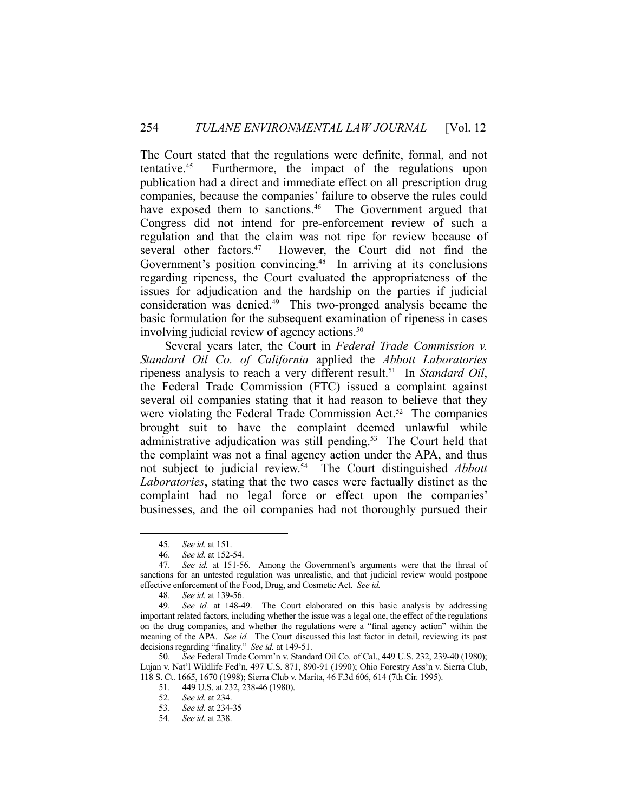The Court stated that the regulations were definite, formal, and not tentative.45 Furthermore, the impact of the regulations upon publication had a direct and immediate effect on all prescription drug companies, because the companies' failure to observe the rules could have exposed them to sanctions.<sup>46</sup> The Government argued that Congress did not intend for pre-enforcement review of such a regulation and that the claim was not ripe for review because of several other factors.<sup>47</sup> However, the Court did not find the Government's position convincing.<sup>48</sup> In arriving at its conclusions regarding ripeness, the Court evaluated the appropriateness of the issues for adjudication and the hardship on the parties if judicial consideration was denied.49 This two-pronged analysis became the basic formulation for the subsequent examination of ripeness in cases involving judicial review of agency actions.<sup>50</sup>

 Several years later, the Court in *Federal Trade Commission v. Standard Oil Co. of California* applied the *Abbott Laboratories* ripeness analysis to reach a very different result.51 In *Standard Oil*, the Federal Trade Commission (FTC) issued a complaint against several oil companies stating that it had reason to believe that they were violating the Federal Trade Commission Act.<sup>52</sup> The companies brought suit to have the complaint deemed unlawful while administrative adjudication was still pending.<sup>53</sup> The Court held that the complaint was not a final agency action under the APA, and thus not subject to judicial review.54 The Court distinguished *Abbott Laboratories*, stating that the two cases were factually distinct as the complaint had no legal force or effect upon the companies' businesses, and the oil companies had not thoroughly pursued their

<u>.</u>

 <sup>45.</sup> *See id.* at 151.

 <sup>46.</sup> *See id.* at 152-54.

 <sup>47.</sup> *See id.* at 151-56. Among the Government's arguments were that the threat of sanctions for an untested regulation was unrealistic, and that judicial review would postpone effective enforcement of the Food, Drug, and Cosmetic Act. *See id.*

 <sup>48.</sup> *See id.* at 139-56.

 <sup>49.</sup> *See id.* at 148-49. The Court elaborated on this basic analysis by addressing important related factors, including whether the issue was a legal one, the effect of the regulations on the drug companies, and whether the regulations were a "final agency action" within the meaning of the APA. *See id.* The Court discussed this last factor in detail, reviewing its past decisions regarding "finality." *See id.* at 149-51.

 <sup>50.</sup> *See* Federal Trade Comm'n v. Standard Oil Co. of Cal., 449 U.S. 232, 239-40 (1980); Lujan v. Nat'l Wildlife Fed'n, 497 U.S. 871, 890-91 (1990); Ohio Forestry Ass'n v. Sierra Club, 118 S. Ct. 1665, 1670 (1998); Sierra Club v. Marita, 46 F.3d 606, 614 (7th Cir. 1995).

 <sup>51. 449</sup> U.S. at 232, 238-46 (1980).

 <sup>52.</sup> *See id.* at 234.

 <sup>53.</sup> *See id.* at 234-35

 <sup>54.</sup> *See id.* at 238.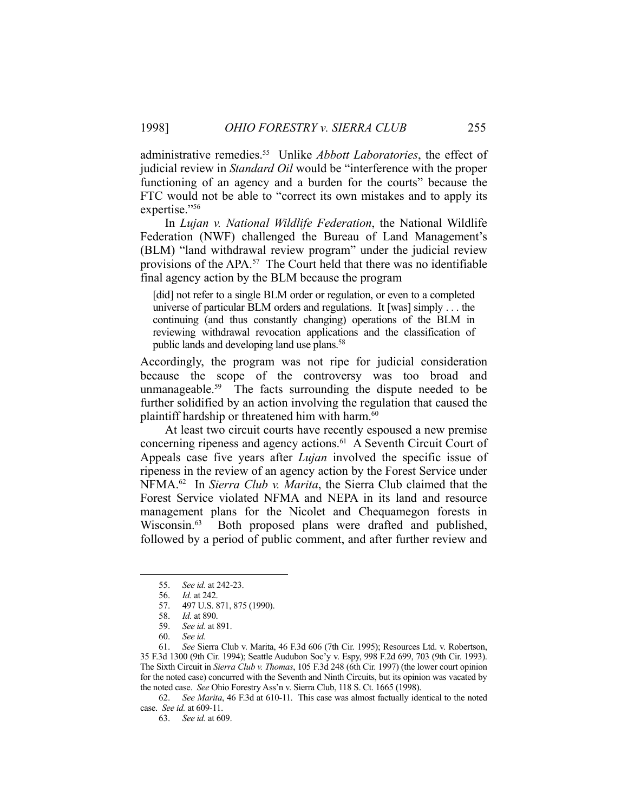administrative remedies.55 Unlike *Abbott Laboratories*, the effect of judicial review in *Standard Oil* would be "interference with the proper functioning of an agency and a burden for the courts" because the FTC would not be able to "correct its own mistakes and to apply its expertise."56

 In *Lujan v. National Wildlife Federation*, the National Wildlife Federation (NWF) challenged the Bureau of Land Management's (BLM) "land withdrawal review program" under the judicial review provisions of the APA.57 The Court held that there was no identifiable final agency action by the BLM because the program

[did] not refer to a single BLM order or regulation, or even to a completed universe of particular BLM orders and regulations. It [was] simply . . . the continuing (and thus constantly changing) operations of the BLM in reviewing withdrawal revocation applications and the classification of public lands and developing land use plans.58

Accordingly, the program was not ripe for judicial consideration because the scope of the controversy was too broad and unmanageable.<sup>59</sup> The facts surrounding the dispute needed to be further solidified by an action involving the regulation that caused the plaintiff hardship or threatened him with harm.<sup>60</sup>

 At least two circuit courts have recently espoused a new premise concerning ripeness and agency actions.61 A Seventh Circuit Court of Appeals case five years after *Lujan* involved the specific issue of ripeness in the review of an agency action by the Forest Service under NFMA.62 In *Sierra Club v. Marita*, the Sierra Club claimed that the Forest Service violated NFMA and NEPA in its land and resource management plans for the Nicolet and Chequamegon forests in Wisconsin.<sup>63</sup> Both proposed plans were drafted and published, followed by a period of public comment, and after further review and

1

 62. *See Marita*, 46 F.3d at 610-11. This case was almost factually identical to the noted case. *See id.* at 609-11.

63. *See id.* at 609.

 <sup>55.</sup> *See id.* at 242-23.

 <sup>56.</sup> *Id.* at 242.

 <sup>57. 497</sup> U.S. 871, 875 (1990).

 <sup>58.</sup> *Id.* at 890.

 <sup>59.</sup> *See id.* at 891.

 <sup>60.</sup> *See id.*

 <sup>61.</sup> *See* Sierra Club v. Marita, 46 F.3d 606 (7th Cir. 1995); Resources Ltd. v. Robertson, 35 F.3d 1300 (9th Cir. 1994); Seattle Audubon Soc'y v. Espy, 998 F.2d 699, 703 (9th Cir. 1993). The Sixth Circuit in *Sierra Club v. Thomas*, 105 F.3d 248 (6th Cir. 1997) (the lower court opinion for the noted case) concurred with the Seventh and Ninth Circuits, but its opinion was vacated by the noted case. *See* Ohio Forestry Ass'n v. Sierra Club, 118 S. Ct. 1665 (1998).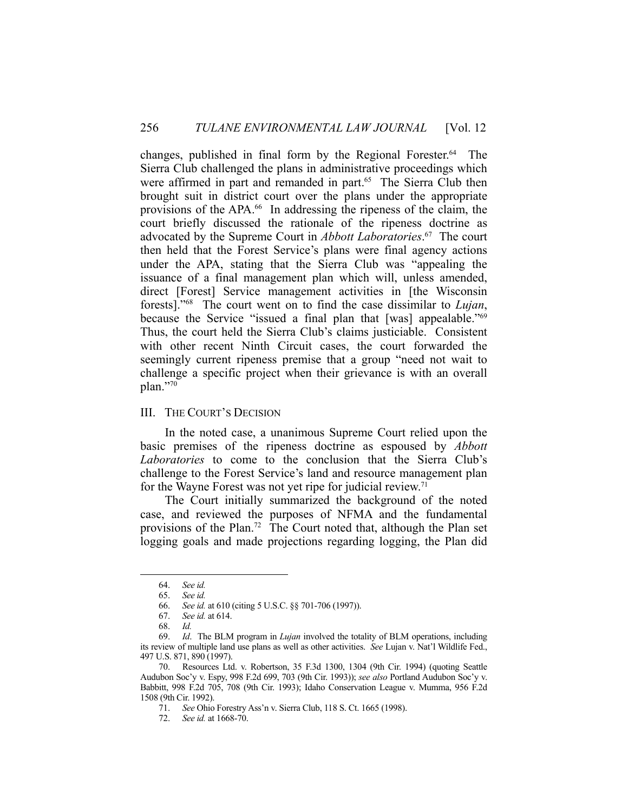changes, published in final form by the Regional Forester.<sup>64</sup> The Sierra Club challenged the plans in administrative proceedings which were affirmed in part and remanded in part.<sup>65</sup> The Sierra Club then brought suit in district court over the plans under the appropriate provisions of the APA.66 In addressing the ripeness of the claim, the court briefly discussed the rationale of the ripeness doctrine as advocated by the Supreme Court in *Abbott Laboratories*. 67 The court then held that the Forest Service's plans were final agency actions under the APA, stating that the Sierra Club was "appealing the issuance of a final management plan which will, unless amended, direct [Forest] Service management activities in [the Wisconsin forests]."68 The court went on to find the case dissimilar to *Lujan*, because the Service "issued a final plan that [was] appealable."69 Thus, the court held the Sierra Club's claims justiciable. Consistent with other recent Ninth Circuit cases, the court forwarded the seemingly current ripeness premise that a group "need not wait to challenge a specific project when their grievance is with an overall plan."70

# III. THE COURT'S DECISION

 In the noted case, a unanimous Supreme Court relied upon the basic premises of the ripeness doctrine as espoused by *Abbott Laboratories* to come to the conclusion that the Sierra Club's challenge to the Forest Service's land and resource management plan for the Wayne Forest was not yet ripe for judicial review.<sup>71</sup>

 The Court initially summarized the background of the noted case, and reviewed the purposes of NFMA and the fundamental provisions of the Plan.72 The Court noted that, although the Plan set logging goals and made projections regarding logging, the Plan did

1

72. *See id.* at 1668-70.

 <sup>64.</sup> *See id.*

 <sup>65.</sup> *See id.*

 <sup>66.</sup> *See id.* at 610 (citing 5 U.S.C. §§ 701-706 (1997)).

 <sup>67.</sup> *See id.* at 614.

 <sup>68.</sup> *Id.*

 <sup>69.</sup> *Id*. The BLM program in *Lujan* involved the totality of BLM operations, including its review of multiple land use plans as well as other activities. *See* Lujan v. Nat'l Wildlife Fed., 497 U.S. 871, 890 (1997).

 <sup>70.</sup> Resources Ltd. v. Robertson, 35 F.3d 1300, 1304 (9th Cir. 1994) (quoting Seattle Audubon Soc'y v. Espy, 998 F.2d 699, 703 (9th Cir. 1993)); *see also* Portland Audubon Soc'y v. Babbitt, 998 F.2d 705, 708 (9th Cir. 1993); Idaho Conservation League v. Mumma, 956 F.2d 1508 (9th Cir. 1992).

 <sup>71.</sup> *See* Ohio Forestry Ass'n v. Sierra Club, 118 S. Ct. 1665 (1998).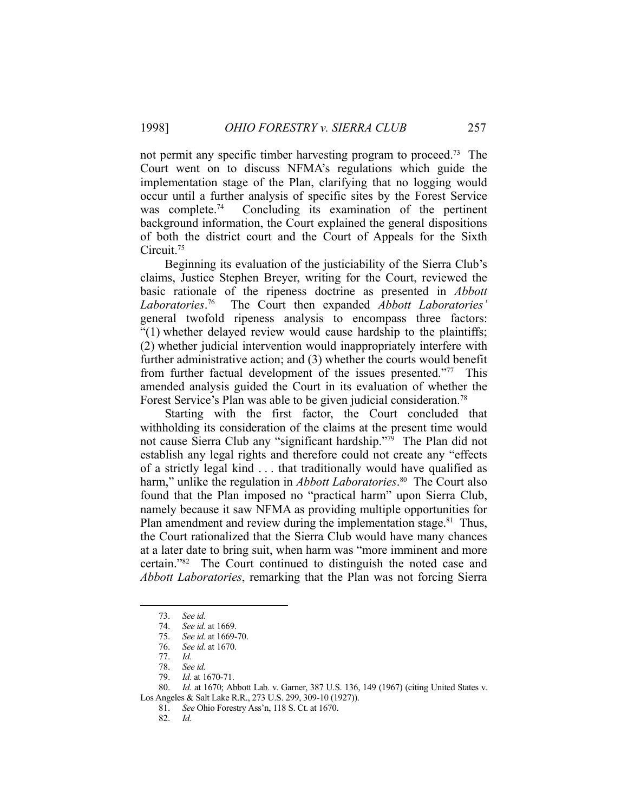not permit any specific timber harvesting program to proceed.<sup>73</sup> The Court went on to discuss NFMA's regulations which guide the implementation stage of the Plan, clarifying that no logging would occur until a further analysis of specific sites by the Forest Service was complete.<sup>74</sup> Concluding its examination of the pertinent background information, the Court explained the general dispositions of both the district court and the Court of Appeals for the Sixth Circuit.75

 Beginning its evaluation of the justiciability of the Sierra Club's claims, Justice Stephen Breyer, writing for the Court, reviewed the basic rationale of the ripeness doctrine as presented in *Abbott Laboratories*. The Court then expanded **Abbott Laboratories**' general twofold ripeness analysis to encompass three factors: "(1) whether delayed review would cause hardship to the plaintiffs; (2) whether judicial intervention would inappropriately interfere with further administrative action; and (3) whether the courts would benefit from further factual development of the issues presented."77 This amended analysis guided the Court in its evaluation of whether the Forest Service's Plan was able to be given judicial consideration.<sup>78</sup>

 Starting with the first factor, the Court concluded that withholding its consideration of the claims at the present time would not cause Sierra Club any "significant hardship."79 The Plan did not establish any legal rights and therefore could not create any "effects of a strictly legal kind . . . that traditionally would have qualified as harm," unlike the regulation in *Abbott Laboratories*. 80 The Court also found that the Plan imposed no "practical harm" upon Sierra Club, namely because it saw NFMA as providing multiple opportunities for Plan amendment and review during the implementation stage.<sup>81</sup> Thus, the Court rationalized that the Sierra Club would have many chances at a later date to bring suit, when harm was "more imminent and more certain."82 The Court continued to distinguish the noted case and *Abbott Laboratories*, remarking that the Plan was not forcing Sierra

<u>.</u>

 <sup>73.</sup> *See id.*

 <sup>74.</sup> *See id.* at 1669.

 <sup>75.</sup> *See id.* at 1669-70.

 <sup>76.</sup> *See id.* at 1670.

 <sup>77.</sup> *Id.*

 <sup>78.</sup> *See id.*

 <sup>79.</sup> *Id.* at 1670-71.

 <sup>80.</sup> *Id.* at 1670; Abbott Lab. v. Garner, 387 U.S. 136, 149 (1967) (citing United States v. Los Angeles & Salt Lake R.R., 273 U.S. 299, 309-10 (1927)).

 <sup>81.</sup> *See* Ohio Forestry Ass'n, 118 S. Ct. at 1670.

 <sup>82.</sup> *Id.*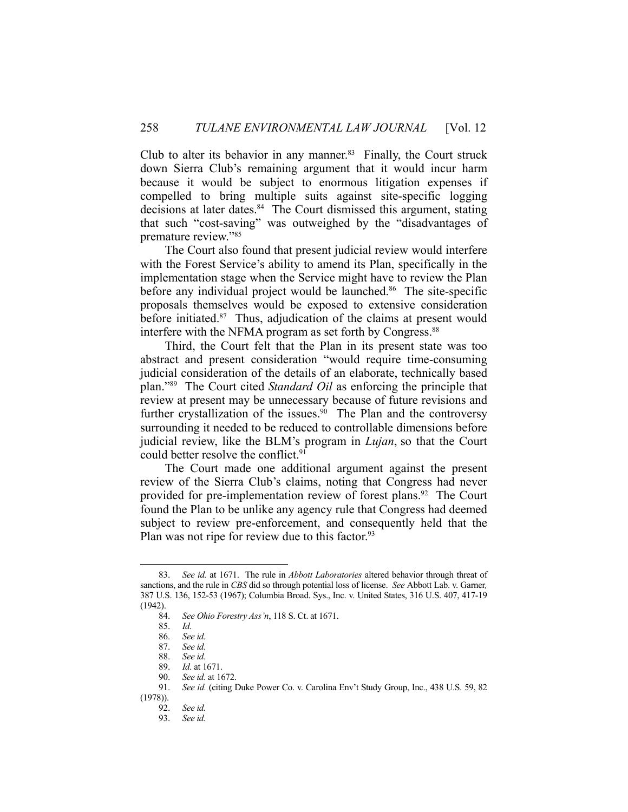Club to alter its behavior in any manner. $83$  Finally, the Court struck down Sierra Club's remaining argument that it would incur harm because it would be subject to enormous litigation expenses if compelled to bring multiple suits against site-specific logging decisions at later dates.<sup>84</sup> The Court dismissed this argument, stating that such "cost-saving" was outweighed by the "disadvantages of premature review."85

 The Court also found that present judicial review would interfere with the Forest Service's ability to amend its Plan, specifically in the implementation stage when the Service might have to review the Plan before any individual project would be launched.<sup>86</sup> The site-specific proposals themselves would be exposed to extensive consideration before initiated.<sup>87</sup> Thus, adjudication of the claims at present would interfere with the NFMA program as set forth by Congress.<sup>88</sup>

 Third, the Court felt that the Plan in its present state was too abstract and present consideration "would require time-consuming judicial consideration of the details of an elaborate, technically based plan."89 The Court cited *Standard Oil* as enforcing the principle that review at present may be unnecessary because of future revisions and further crystallization of the issues.<sup>90</sup> The Plan and the controversy surrounding it needed to be reduced to controllable dimensions before judicial review, like the BLM's program in *Lujan*, so that the Court could better resolve the conflict.<sup>91</sup>

 The Court made one additional argument against the present review of the Sierra Club's claims, noting that Congress had never provided for pre-implementation review of forest plans.<sup>92</sup> The Court found the Plan to be unlike any agency rule that Congress had deemed subject to review pre-enforcement, and consequently held that the Plan was not ripe for review due to this factor.<sup>93</sup>

 <sup>83.</sup> *See id.* at 1671. The rule in *Abbott Laboratories* altered behavior through threat of sanctions, and the rule in *CBS* did so through potential loss of license. *See* Abbott Lab. v. Garner*,* 387 U.S. 136, 152-53 (1967); Columbia Broad. Sys., Inc. v. United States, 316 U.S. 407, 417-19  $(1942)$ .<br>84.

 <sup>84.</sup> *See Ohio Forestry Ass'n*, 118 S. Ct. at 1671.

 <sup>85.</sup> *Id.*

 <sup>86.</sup> *See id.*

 <sup>87.</sup> *See id.*

 <sup>88.</sup> *See id.*

 <sup>89.</sup> *Id.* at 1671.

 <sup>90.</sup> *See id.* at 1672.

 <sup>91.</sup> *See id.* (citing Duke Power Co. v. Carolina Env't Study Group, Inc., 438 U.S. 59, 82

<sup>(1978)).</sup> 

 <sup>92.</sup> *See id.*

 <sup>93.</sup> *See id.*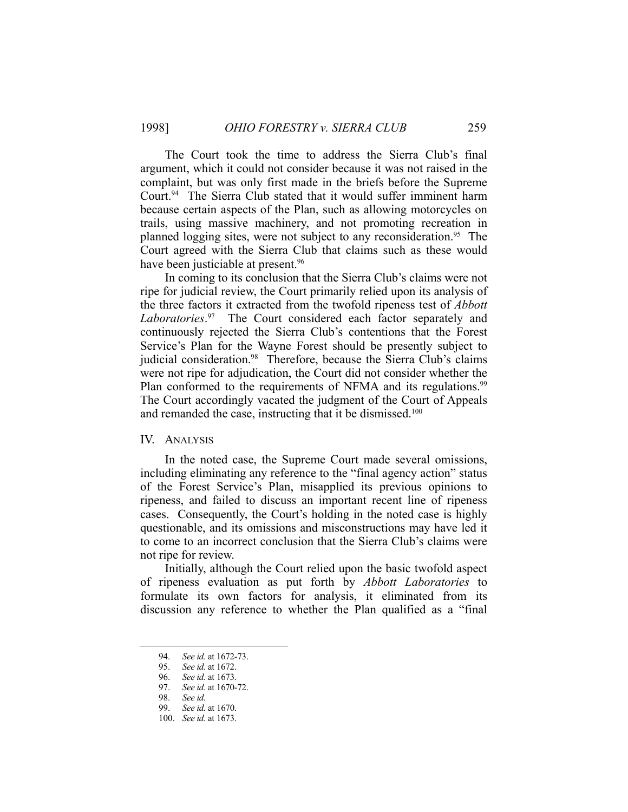The Court took the time to address the Sierra Club's final argument, which it could not consider because it was not raised in the complaint, but was only first made in the briefs before the Supreme Court.<sup>94</sup> The Sierra Club stated that it would suffer imminent harm because certain aspects of the Plan, such as allowing motorcycles on trails, using massive machinery, and not promoting recreation in planned logging sites, were not subject to any reconsideration.<sup>95</sup> The Court agreed with the Sierra Club that claims such as these would have been justiciable at present.<sup>96</sup>

 In coming to its conclusion that the Sierra Club's claims were not ripe for judicial review, the Court primarily relied upon its analysis of the three factors it extracted from the twofold ripeness test of *Abbott Laboratories*. 97 The Court considered each factor separately and continuously rejected the Sierra Club's contentions that the Forest Service's Plan for the Wayne Forest should be presently subject to judicial consideration.<sup>98</sup> Therefore, because the Sierra Club's claims were not ripe for adjudication, the Court did not consider whether the Plan conformed to the requirements of NFMA and its regulations.<sup>99</sup> The Court accordingly vacated the judgment of the Court of Appeals and remanded the case, instructing that it be dismissed.<sup>100</sup>

# IV. ANALYSIS

 In the noted case, the Supreme Court made several omissions, including eliminating any reference to the "final agency action" status of the Forest Service's Plan, misapplied its previous opinions to ripeness, and failed to discuss an important recent line of ripeness cases. Consequently, the Court's holding in the noted case is highly questionable, and its omissions and misconstructions may have led it to come to an incorrect conclusion that the Sierra Club's claims were not ripe for review.

 Initially, although the Court relied upon the basic twofold aspect of ripeness evaluation as put forth by *Abbott Laboratories* to formulate its own factors for analysis, it eliminated from its discussion any reference to whether the Plan qualified as a "final

 <sup>94.</sup> *See id.* at 1672-73.

 <sup>95.</sup> *See id.* at 1672.

 <sup>96.</sup> *See id.* at 1673.

 <sup>97.</sup> *See id.* at 1670-72.

 <sup>98.</sup> *See id.*

 <sup>99.</sup> *See id.* at 1670.

 <sup>100.</sup> *See id.* at 1673.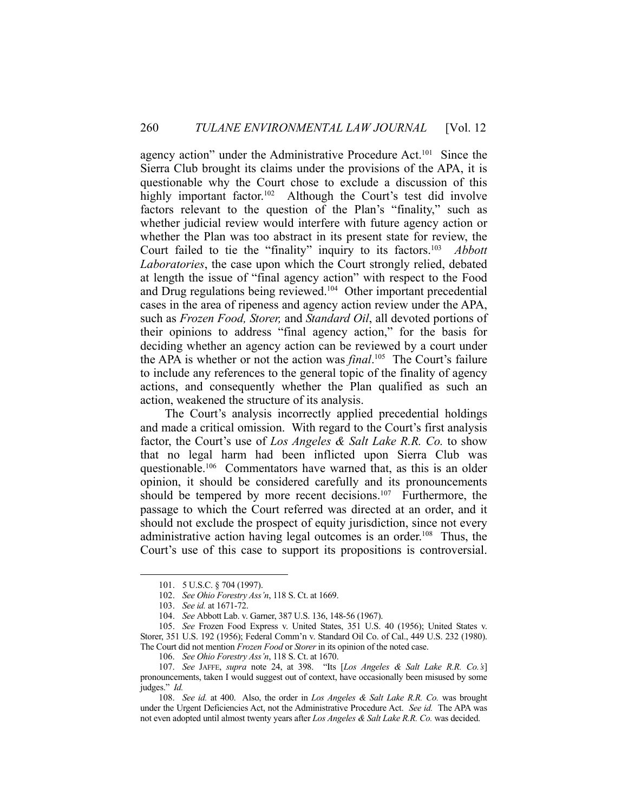agency action" under the Administrative Procedure Act.101 Since the Sierra Club brought its claims under the provisions of the APA, it is questionable why the Court chose to exclude a discussion of this highly important factor.<sup>102</sup> Although the Court's test did involve factors relevant to the question of the Plan's "finality," such as whether judicial review would interfere with future agency action or whether the Plan was too abstract in its present state for review, the Court failed to tie the "finality" inquiry to its factors.103 *Abbott Laboratories*, the case upon which the Court strongly relied, debated at length the issue of "final agency action" with respect to the Food and Drug regulations being reviewed.<sup>104</sup> Other important precedential cases in the area of ripeness and agency action review under the APA, such as *Frozen Food, Storer,* and *Standard Oil*, all devoted portions of their opinions to address "final agency action," for the basis for deciding whether an agency action can be reviewed by a court under the APA is whether or not the action was *final*. 105 The Court's failure to include any references to the general topic of the finality of agency actions, and consequently whether the Plan qualified as such an action, weakened the structure of its analysis.

 The Court's analysis incorrectly applied precedential holdings and made a critical omission. With regard to the Court's first analysis factor, the Court's use of *Los Angeles & Salt Lake R.R. Co.* to show that no legal harm had been inflicted upon Sierra Club was questionable.106 Commentators have warned that, as this is an older opinion, it should be considered carefully and its pronouncements should be tempered by more recent decisions.<sup>107</sup> Furthermore, the passage to which the Court referred was directed at an order, and it should not exclude the prospect of equity jurisdiction, since not every administrative action having legal outcomes is an order.<sup>108</sup> Thus, the Court's use of this case to support its propositions is controversial.

 <sup>101. 5</sup> U.S.C. § 704 (1997).

 <sup>102.</sup> *See Ohio Forestry Ass'n*, 118 S. Ct. at 1669.

 <sup>103.</sup> *See id.* at 1671-72.

 <sup>104.</sup> *See* Abbott Lab. v. Garner, 387 U.S. 136, 148-56 (1967).

 <sup>105.</sup> *See* Frozen Food Express v. United States, 351 U.S. 40 (1956); United States v. Storer, 351 U.S. 192 (1956); Federal Comm'n v. Standard Oil Co. of Cal., 449 U.S. 232 (1980). The Court did not mention *Frozen Food* or *Storer* in its opinion of the noted case.

 <sup>106.</sup> *See Ohio Forestry Ass'n*, 118 S. Ct. at 1670.

 <sup>107.</sup> *See* JAFFE, *supra* note 24, at 398. "Its [*Los Angeles & Salt Lake R.R. Co.'s*] pronouncements, taken I would suggest out of context, have occasionally been misused by some judges." *Id.*

 <sup>108.</sup> *See id.* at 400. Also, the order in *Los Angeles & Salt Lake R.R. Co.* was brought under the Urgent Deficiencies Act, not the Administrative Procedure Act. *See id.* The APA was not even adopted until almost twenty years after *Los Angeles & Salt Lake R.R. Co.* was decided.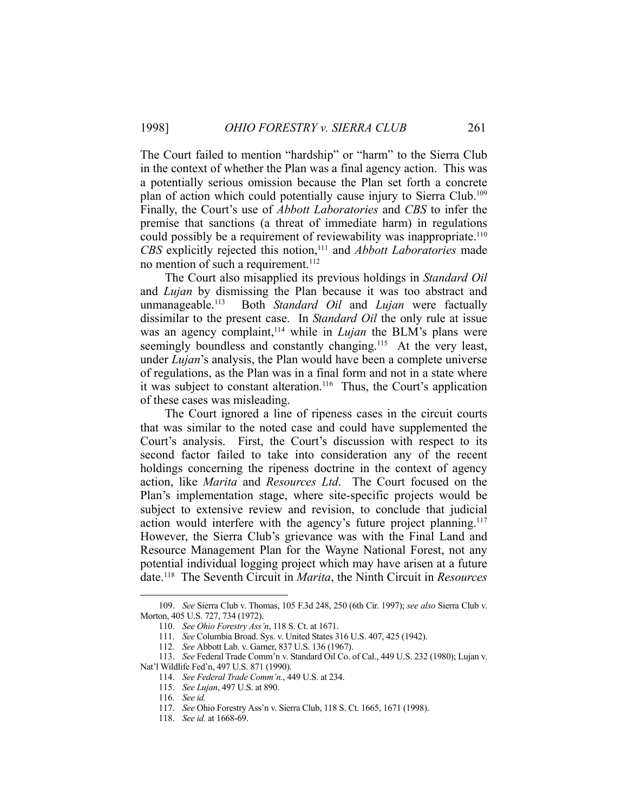The Court failed to mention "hardship" or "harm" to the Sierra Club in the context of whether the Plan was a final agency action. This was a potentially serious omission because the Plan set forth a concrete plan of action which could potentially cause injury to Sierra Club.109 Finally, the Court's use of *Abbott Laboratories* and *CBS* to infer the premise that sanctions (a threat of immediate harm) in regulations could possibly be a requirement of reviewability was inappropriate.<sup>110</sup> *CBS* explicitly rejected this notion,<sup>111</sup> and *Abbott Laboratories* made no mention of such a requirement.<sup>112</sup>

 The Court also misapplied its previous holdings in *Standard Oil* and *Lujan* by dismissing the Plan because it was too abstract and unmanageable.113 Both *Standard Oil* and *Lujan* were factually dissimilar to the present case. In *Standard Oil* the only rule at issue was an agency complaint,<sup>114</sup> while in *Lujan* the BLM's plans were seemingly boundless and constantly changing.<sup>115</sup> At the very least, under *Lujan*'s analysis, the Plan would have been a complete universe of regulations, as the Plan was in a final form and not in a state where it was subject to constant alteration.<sup>116</sup> Thus, the Court's application of these cases was misleading.

 The Court ignored a line of ripeness cases in the circuit courts that was similar to the noted case and could have supplemented the Court's analysis. First, the Court's discussion with respect to its second factor failed to take into consideration any of the recent holdings concerning the ripeness doctrine in the context of agency action, like *Marita* and *Resources Ltd*. The Court focused on the Plan's implementation stage, where site-specific projects would be subject to extensive review and revision, to conclude that judicial action would interfere with the agency's future project planning.<sup>117</sup> However, the Sierra Club's grievance was with the Final Land and Resource Management Plan for the Wayne National Forest, not any potential individual logging project which may have arisen at a future date.118 The Seventh Circuit in *Marita*, the Ninth Circuit in *Resources* 

 <sup>109.</sup> *See* Sierra Club v. Thomas, 105 F.3d 248, 250 (6th Cir. 1997); *see also* Sierra Club v. Morton, 405 U.S. 727, 734 (1972).

 <sup>110.</sup> *See Ohio Forestry Ass'n*, 118 S. Ct. at 1671.

 <sup>111.</sup> *See* Columbia Broad. Sys. v. United States 316 U.S. 407, 425 (1942).

 <sup>112.</sup> *See* Abbott Lab. v. Garner, 837 U.S. 136 (1967).

 <sup>113.</sup> *See* Federal Trade Comm'n v. Standard Oil Co. of Cal., 449 U.S. 232 (1980); Lujan v. Nat'l Wildlife Fed'n, 497 U.S. 871 (1990).

 <sup>114.</sup> *See Federal Trade Comm'n.*, 449 U.S. at 234.

 <sup>115.</sup> *See Lujan*, 497 U.S. at 890.

 <sup>116.</sup> *See id.*

 <sup>117.</sup> *See* Ohio Forestry Ass'n v. Sierra Club, 118 S. Ct. 1665, 1671 (1998).

 <sup>118.</sup> *See id.* at 1668-69.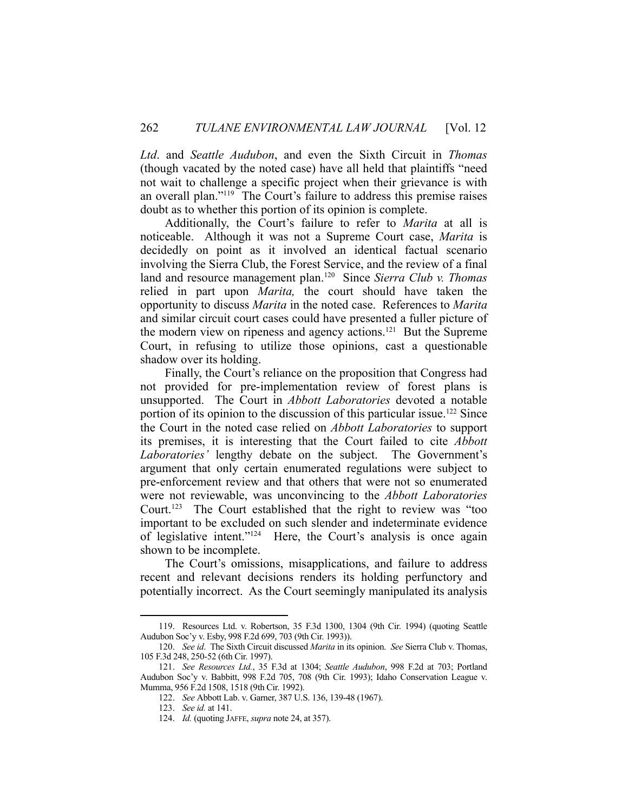*Ltd*. and *Seattle Audubon*, and even the Sixth Circuit in *Thomas* (though vacated by the noted case) have all held that plaintiffs "need not wait to challenge a specific project when their grievance is with an overall plan."119 The Court's failure to address this premise raises doubt as to whether this portion of its opinion is complete.

 Additionally, the Court's failure to refer to *Marita* at all is noticeable. Although it was not a Supreme Court case, *Marita* is decidedly on point as it involved an identical factual scenario involving the Sierra Club, the Forest Service, and the review of a final land and resource management plan.120 Since *Sierra Club v. Thomas* relied in part upon *Marita,* the court should have taken the opportunity to discuss *Marita* in the noted case. References to *Marita* and similar circuit court cases could have presented a fuller picture of the modern view on ripeness and agency actions.121 But the Supreme Court, in refusing to utilize those opinions, cast a questionable shadow over its holding.

 Finally, the Court's reliance on the proposition that Congress had not provided for pre-implementation review of forest plans is unsupported. The Court in *Abbott Laboratories* devoted a notable portion of its opinion to the discussion of this particular issue.122 Since the Court in the noted case relied on *Abbott Laboratories* to support its premises, it is interesting that the Court failed to cite *Abbott Laboratories'* lengthy debate on the subject. The Government's argument that only certain enumerated regulations were subject to pre-enforcement review and that others that were not so enumerated were not reviewable, was unconvincing to the *Abbott Laboratories*  Court.123 The Court established that the right to review was "too important to be excluded on such slender and indeterminate evidence of legislative intent."124 Here, the Court's analysis is once again shown to be incomplete.

 The Court's omissions, misapplications, and failure to address recent and relevant decisions renders its holding perfunctory and potentially incorrect. As the Court seemingly manipulated its analysis

 <sup>119.</sup> Resources Ltd. v. Robertson, 35 F.3d 1300, 1304 (9th Cir. 1994) (quoting Seattle Audubon Soc'y v. Esby, 998 F.2d 699, 703 (9th Cir. 1993)).

 <sup>120.</sup> *See id*. The Sixth Circuit discussed *Marita* in its opinion. *See* Sierra Club v. Thomas, 105 F.3d 248, 250-52 (6th Cir. 1997).

 <sup>121.</sup> *See Resources Ltd.*, 35 F.3d at 1304; *Seattle Audubon*, 998 F.2d at 703; Portland Audubon Soc'y v. Babbitt, 998 F.2d 705, 708 (9th Cir. 1993); Idaho Conservation League v. Mumma, 956 F.2d 1508, 1518 (9th Cir. 1992).

 <sup>122.</sup> *See* Abbott Lab. v. Garner, 387 U.S. 136, 139-48 (1967).

 <sup>123.</sup> *See id.* at 141.

 <sup>124.</sup> *Id.* (quoting JAFFE, *supra* note 24, at 357).